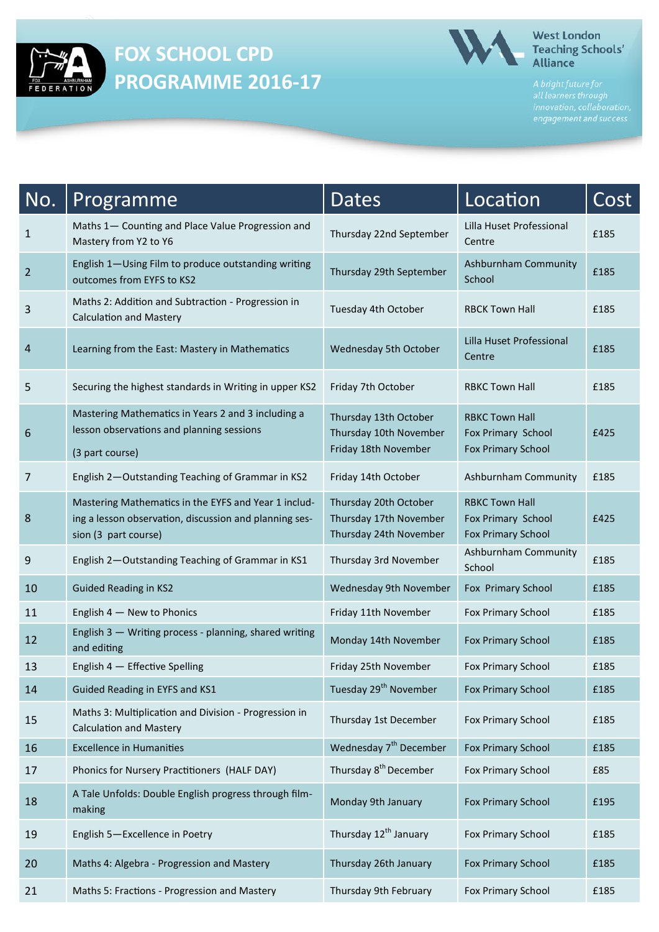

## **FOX SCHOOL CPD PROGRAMME 2016-17**



### **West London** Teaching Schools'<br>Alliance

| No.            | Programme                                                                                                                              | Dates                                                                     | Location                                                                 | Cost |
|----------------|----------------------------------------------------------------------------------------------------------------------------------------|---------------------------------------------------------------------------|--------------------------------------------------------------------------|------|
| $\mathbf{1}$   | Maths 1- Counting and Place Value Progression and<br>Mastery from Y2 to Y6                                                             | Thursday 22nd September                                                   | Lilla Huset Professional<br>Centre                                       | £185 |
| $\overline{2}$ | English 1-Using Film to produce outstanding writing<br>outcomes from EYFS to KS2                                                       | Thursday 29th September                                                   | Ashburnham Community<br>School                                           | £185 |
| 3              | Maths 2: Addition and Subtraction - Progression in<br><b>Calculation and Mastery</b>                                                   | Tuesday 4th October                                                       | <b>RBCK Town Hall</b>                                                    | £185 |
| 4              | Learning from the East: Mastery in Mathematics                                                                                         | Wednesday 5th October                                                     | Lilla Huset Professional<br>Centre                                       | £185 |
| 5              | Securing the highest standards in Writing in upper KS2                                                                                 | Friday 7th October                                                        | <b>RBKC Town Hall</b>                                                    | £185 |
| 6              | Mastering Mathematics in Years 2 and 3 including a<br>lesson observations and planning sessions<br>(3 part course)                     | Thursday 13th October<br>Thursday 10th November<br>Friday 18th November   | <b>RBKC Town Hall</b><br>Fox Primary School<br><b>Fox Primary School</b> | £425 |
| $\overline{7}$ | English 2-Outstanding Teaching of Grammar in KS2                                                                                       | Friday 14th October                                                       | Ashburnham Community                                                     | £185 |
| 8              | Mastering Mathematics in the EYFS and Year 1 includ-<br>ing a lesson observation, discussion and planning ses-<br>sion (3 part course) | Thursday 20th October<br>Thursday 17th November<br>Thursday 24th November | <b>RBKC Town Hall</b><br>Fox Primary School<br><b>Fox Primary School</b> | £425 |
| 9              | English 2-Outstanding Teaching of Grammar in KS1                                                                                       | Thursday 3rd November                                                     | Ashburnham Community<br>School                                           | £185 |
| 10             | <b>Guided Reading in KS2</b>                                                                                                           | Wednesday 9th November                                                    | Fox Primary School                                                       | £185 |
| 11             | English 4 - New to Phonics                                                                                                             | Friday 11th November                                                      | Fox Primary School                                                       | £185 |
| 12             | English 3 - Writing process - planning, shared writing<br>and editing                                                                  | Monday 14th November                                                      | <b>Fox Primary School</b>                                                | £185 |
| 13             | English 4 - Effective Spelling                                                                                                         | Friday 25th November                                                      | Fox Primary School                                                       | £185 |
| 14             | Guided Reading in EYFS and KS1                                                                                                         | Tuesday 29 <sup>th</sup> November                                         | <b>Fox Primary School</b>                                                | £185 |
| 15             | Maths 3: Multiplication and Division - Progression in<br><b>Calculation and Mastery</b>                                                | Thursday 1st December                                                     | Fox Primary School                                                       | £185 |
| 16             | <b>Excellence in Humanities</b>                                                                                                        | Wednesday 7 <sup>th</sup> December                                        | <b>Fox Primary School</b>                                                | £185 |
| 17             | Phonics for Nursery Practitioners (HALF DAY)                                                                                           | Thursday 8 <sup>th</sup> December                                         | Fox Primary School                                                       | £85  |
| 18             | A Tale Unfolds: Double English progress through film-<br>making                                                                        | Monday 9th January                                                        | <b>Fox Primary School</b>                                                | £195 |
| 19             | English 5-Excellence in Poetry                                                                                                         | Thursday 12 <sup>th</sup> January                                         | Fox Primary School                                                       | £185 |
| 20             | Maths 4: Algebra - Progression and Mastery                                                                                             | Thursday 26th January                                                     | <b>Fox Primary School</b>                                                | £185 |
| 21             | Maths 5: Fractions - Progression and Mastery                                                                                           | Thursday 9th February                                                     | Fox Primary School                                                       | £185 |